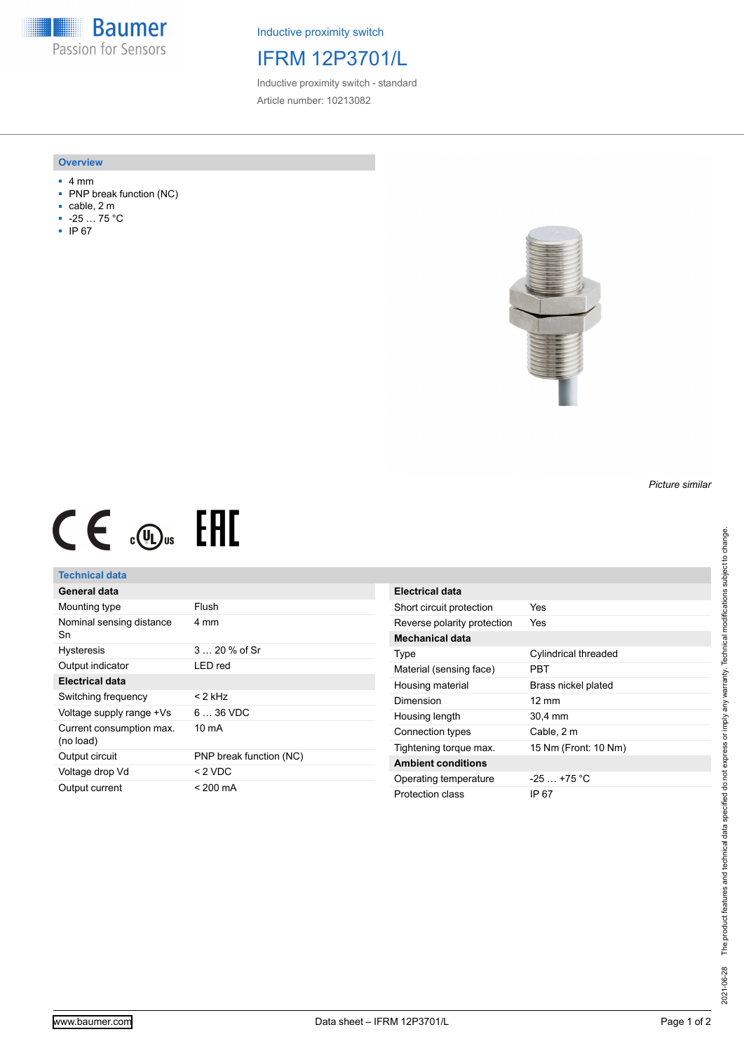**Baumer** Passion for Sensors

Inductive proximity switch

## IFRM 12P3701/L

Inductive proximity switch - standard Article number: 10213082

#### **Overview**

- 4 mm
- PNP break function (NC)
- cable, 2 m
- -25 … 75 °C
- IP 67



# $CE \mathcal{L}$  .  $\mathbb{G}$ .

### **Technical data**

| General data                          |                         |
|---------------------------------------|-------------------------|
| Mounting type                         | Flush                   |
| Nominal sensing distance<br>Sn        | 4 mm                    |
| <b>Hysteresis</b>                     | $320%$ of Sr            |
| Output indicator                      | I FD red                |
| Electrical data                       |                         |
| Switching frequency                   | < 2 kHz                 |
| Voltage supply range +Vs              | $636$ VDC               |
| Current consumption max.<br>(no load) | $10 \text{ mA}$         |
| Output circuit                        | PNP break function (NC) |
| Voltage drop Vd                       | $<$ 2 VDC               |
| Output current                        | < 200 mA                |

| Electrical data             |                      |
|-----------------------------|----------------------|
| Short circuit protection    | Yes                  |
| Reverse polarity protection | Yes                  |
| <b>Mechanical data</b>      |                      |
| Type                        | Cylindrical threaded |
| Material (sensing face)     | PRT                  |
| Housing material            | Brass nickel plated  |
| Dimension                   | $12 \text{ mm}$      |
| Housing length              | 30,4 mm              |
| Connection types            | Cable, 2 m           |
| Tightening torque max.      | 15 Nm (Front: 10 Nm) |
| <b>Ambient conditions</b>   |                      |
| Operating temperature       | $-25+75 °C$          |
| Protection class            | IP 67                |